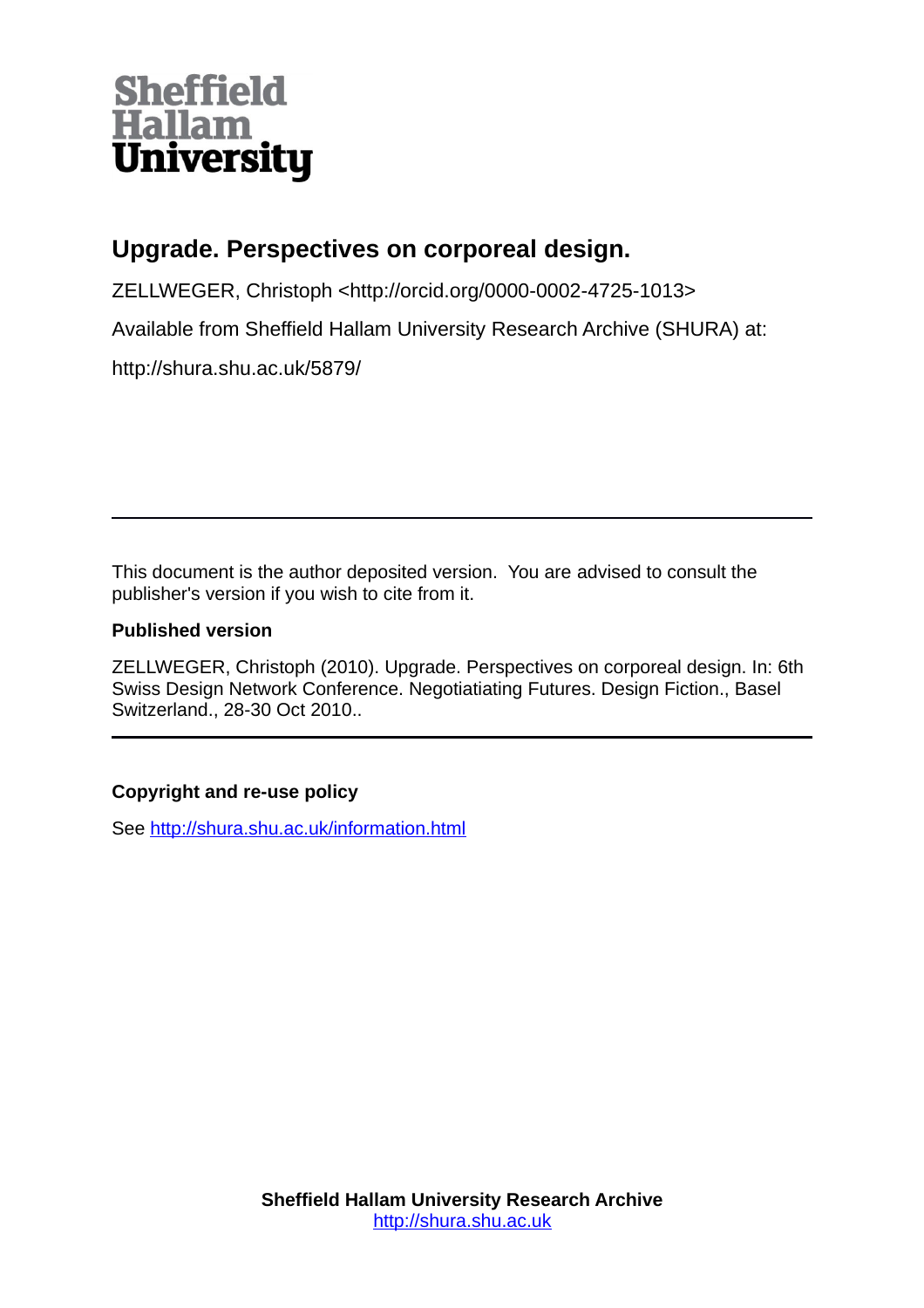# **Sheffield<br>Hallam<br>University**

# **Upgrade. Perspectives on corporeal design.**

ZELLWEGER, Christoph <http://orcid.org/0000-0002-4725-1013>

Available from Sheffield Hallam University Research Archive (SHURA) at:

http://shura.shu.ac.uk/5879/

This document is the author deposited version. You are advised to consult the publisher's version if you wish to cite from it.

# **Published version**

ZELLWEGER, Christoph (2010). Upgrade. Perspectives on corporeal design. In: 6th Swiss Design Network Conference. Negotiatiating Futures. Design Fiction., Basel Switzerland., 28-30 Oct 2010..

# **Copyright and re-use policy**

See<http://shura.shu.ac.uk/information.html>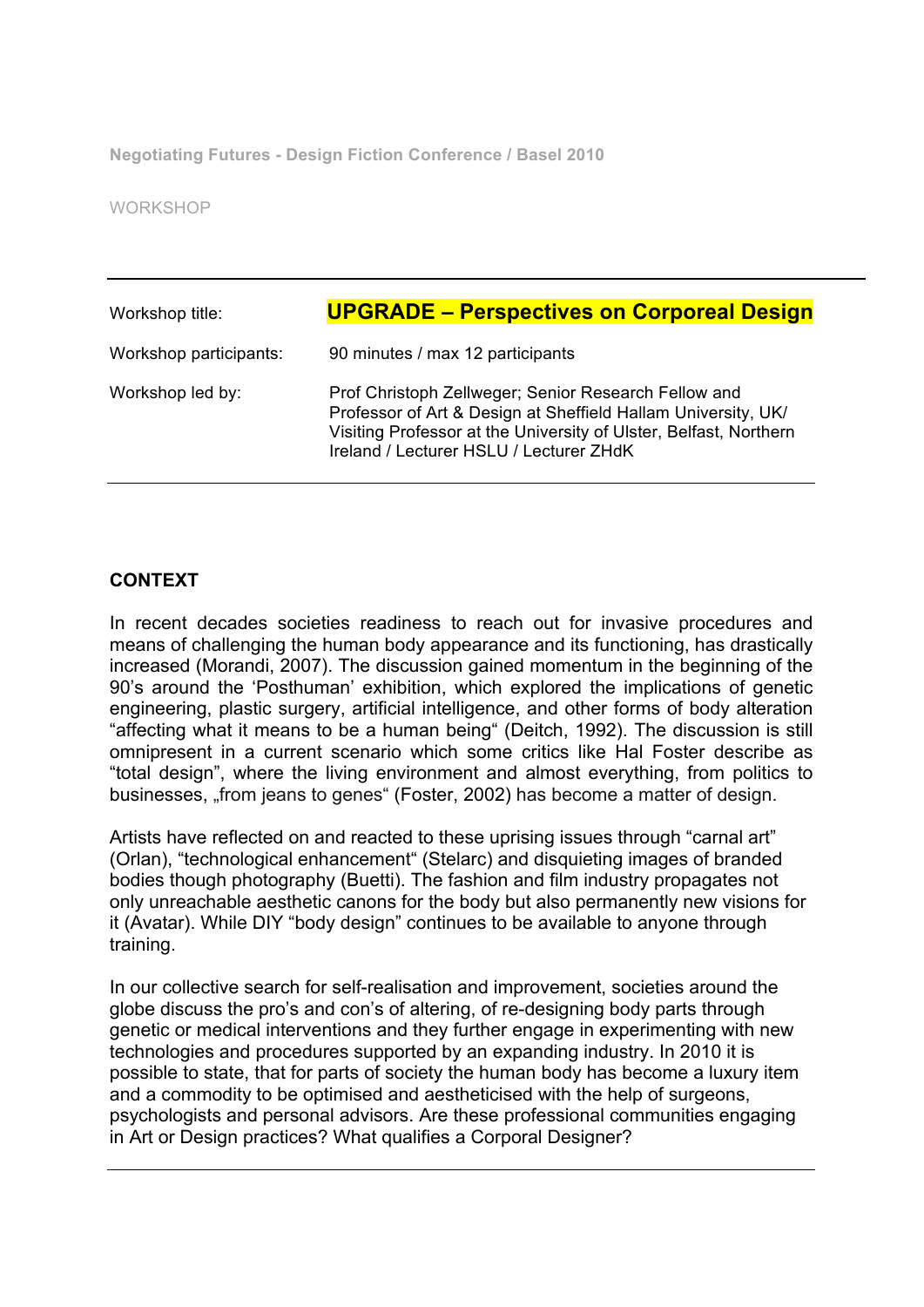**Negotiating Futures - Design Fiction Conference / Basel 2010**

WORKSHOP

| Workshop title:        | <b>UPGRADE – Perspectives on Corporeal Design</b>                                                                                                                                                                                     |
|------------------------|---------------------------------------------------------------------------------------------------------------------------------------------------------------------------------------------------------------------------------------|
| Workshop participants: | 90 minutes / max 12 participants                                                                                                                                                                                                      |
| Workshop led by:       | Prof Christoph Zellweger; Senior Research Fellow and<br>Professor of Art & Design at Sheffield Hallam University, UK/<br>Visiting Professor at the University of Ulster, Belfast, Northern<br>Ireland / Lecturer HSLU / Lecturer ZHdK |

#### **CONTEXT**

In recent decades societies readiness to reach out for invasive procedures and means of challenging the human body appearance and its functioning, has drastically increased (Morandi, 2007). The discussion gained momentum in the beginning of the 90's around the 'Posthuman' exhibition, which explored the implications of genetic engineering, plastic surgery, artificial intelligence, and other forms of body alteration "affecting what it means to be a human being" (Deitch, 1992). The discussion is still omnipresent in a current scenario which some critics like Hal Foster describe as "total design", where the living environment and almost everything, from politics to businesses, "from jeans to genes" (Foster, 2002) has become a matter of design.

Artists have reflected on and reacted to these uprising issues through "carnal art" (Orlan), "technological enhancement" (Stelarc) and disquieting images of branded bodies though photography (Buetti). The fashion and film industry propagates not only unreachable aesthetic canons for the body but also permanently new visions for it (Avatar). While DIY "body design" continues to be available to anyone through training.

In our collective search for self-realisation and improvement, societies around the globe discuss the pro's and con's of altering, of re-designing body parts through genetic or medical interventions and they further engage in experimenting with new technologies and procedures supported by an expanding industry. In 2010 it is possible to state, that for parts of society the human body has become a luxury item and a commodity to be optimised and aestheticised with the help of surgeons, psychologists and personal advisors. Are these professional communities engaging in Art or Design practices? What qualifies a Corporal Designer?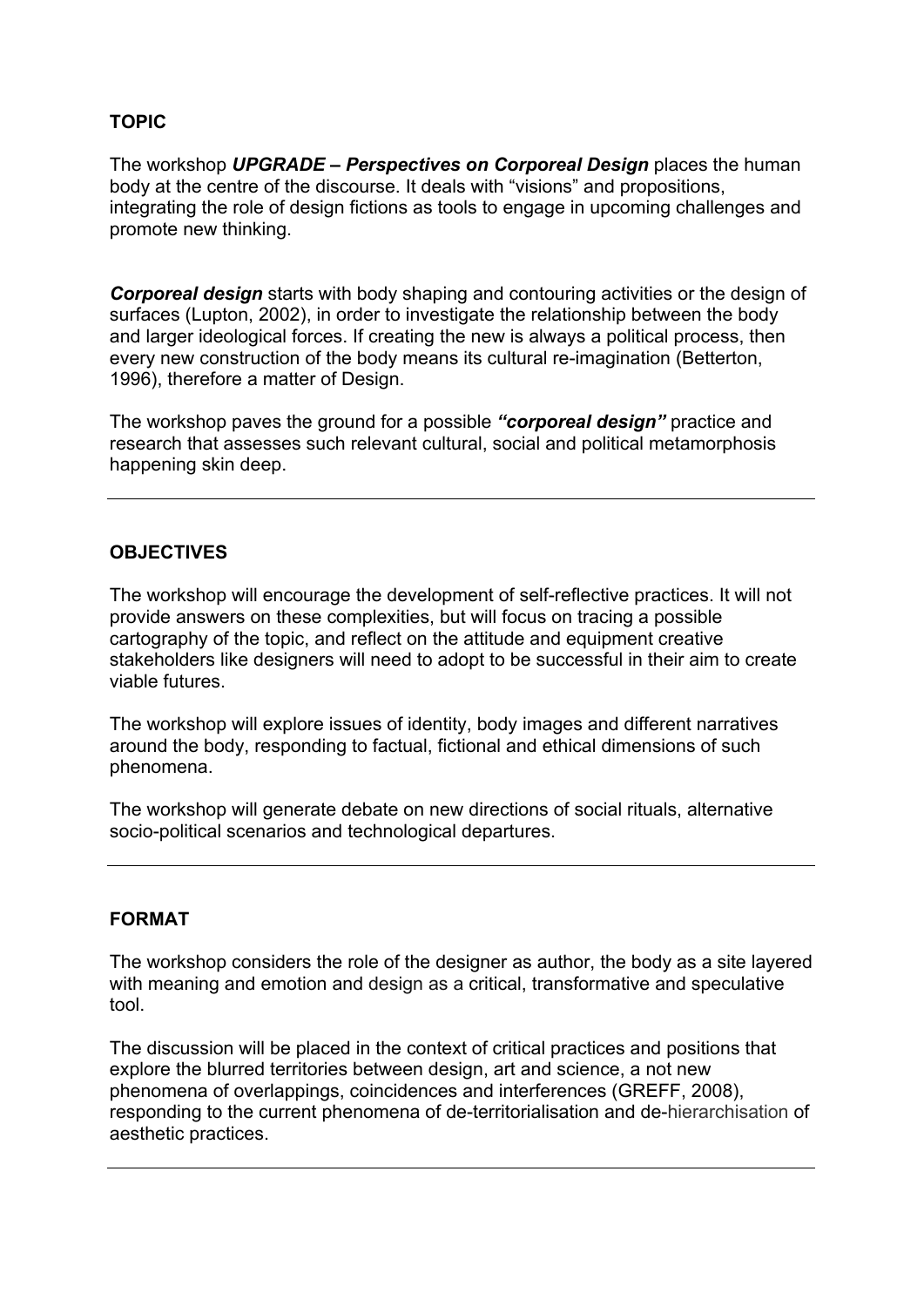## **TOPIC**

The workshop *UPGRADE – Perspectives on Corporeal Design* places the human body at the centre of the discourse. It deals with "visions" and propositions, integrating the role of design fictions as tools to engage in upcoming challenges and promote new thinking.

*Corporeal design* starts with body shaping and contouring activities or the design of surfaces (Lupton, 2002), in order to investigate the relationship between the body and larger ideological forces. If creating the new is always a political process, then every new construction of the body means its cultural re-imagination (Betterton, 1996), therefore a matter of Design.

The workshop paves the ground for a possible *"corporeal design"* practice and research that assesses such relevant cultural, social and political metamorphosis happening skin deep.

## **OBJECTIVES**

The workshop will encourage the development of self-reflective practices. It will not provide answers on these complexities, but will focus on tracing a possible cartography of the topic, and reflect on the attitude and equipment creative stakeholders like designers will need to adopt to be successful in their aim to create viable futures.

The workshop will explore issues of identity, body images and different narratives around the body, responding to factual, fictional and ethical dimensions of such phenomena.

The workshop will generate debate on new directions of social rituals, alternative socio-political scenarios and technological departures.

## **FORMAT**

The workshop considers the role of the designer as author, the body as a site layered with meaning and emotion and design as a critical, transformative and speculative tool.

The discussion will be placed in the context of critical practices and positions that explore the blurred territories between design, art and science, a not new phenomena of overlappings, coincidences and interferences (GREFF, 2008), responding to the current phenomena of de-territorialisation and de-hierarchisation of aesthetic practices.